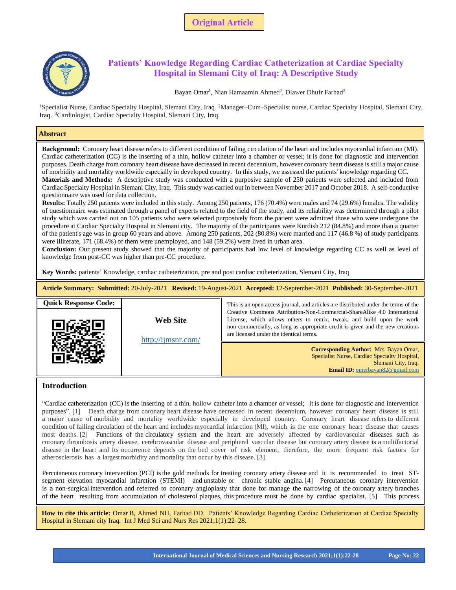

# **Hospital in Slemani City of Iraq: A Descriptive Study Patients' Knowledge Regarding Cardiac Catheterization at Cardiac Specialty**

# Bayan Omar<sup>1</sup>, Nian Hamaamin Ahmed<sup>2</sup>, Dlawer Dhufr Farhad<sup>3</sup>

<sup>1</sup>Specialist Nurse, Cardiac Specialty Hospital, Slemani City, Iraq. <sup>2</sup>Manager–Cum–Specialist nurse, Cardiac Specialty Hospital, Slemani City, Iraq. <sup>3</sup>Cardiologist, Cardiac Specialty Hospital, Slemani City, Iraq.

# **Abstract**

**Background:** Coronary heart disease refers to different condition of failing circulation of the heart and includes myocardial infarction (MI). Cardiac catheterization (CC) is the inserting of a thin, hollow catheter into a chamber or vessel; it is done for diagnostic and intervention purposes. Death charge from coronary heart disease have decreased in recent decennium, however coronary heart disease is still a major cause of morbidity and mortality worldwide especially in developed country. In this study, we assessed the patients' knowledge regarding CC. **Materials and Methods:** A descriptive study was conducted with a purposive sample of 250 patients were selected and included from Cardiac Specialty Hospital in Slemani City, Iraq. This study was carried out in between November 2017 and October 2018. A self-conductive questionnaire was used for data collection.

**Results:** Totally 250 patients were included in this study. Among 250 patients, 176 (70.4%) were males and 74 (29.6%) females. The validity of questionnaire was estimated through a panel of experts related to the field of the study, and its reliability was determined through a pilot study which was carried out on 105 patients who were selected purposively from the patient were admitted those who were undergone the procedure at Cardiac Specialty Hospital in Slemani city. The majority of the participants were Kurdish 212 (84.8%) and more than a quarter of the patient's age was in group 60 years and above. Among 250 patients, 202 (80.8%) were married and 117 (46.8 %) of study participants were illiterate, 171 (68.4%) of them were unemployed, and 148 (59.2%) were lived in urban area.

**Conclusion:** Our present study showed that the majority of participants had low level of knowledge regarding CC as well as level of knowledge from post-CC was higher than pre-CC procedure.

**Key Words:** patients' Knowledge, cardiac catheterization, pre and post cardiac catheterization, Slemani City, Iraq

| Article Summary: Submitted: 20-July-2021 Revised: 19-August-2021 Accepted: 12-September-2021 Published: 30-September-2021 |                                |                                                                                                                                                                                                    |  |  |  |  |  |
|---------------------------------------------------------------------------------------------------------------------------|--------------------------------|----------------------------------------------------------------------------------------------------------------------------------------------------------------------------------------------------|--|--|--|--|--|
| <b>Quick Response Code:</b>                                                                                               |                                | This is an open access journal, and articles are distributed under the terms of the<br>Creative Commons Attribution-Non-Commercial-ShareAlike 4.0 International                                    |  |  |  |  |  |
|                                                                                                                           | Web Site<br>http://ijmsnr.com/ | License, which allows others to remix, tweak, and build upon the work<br>non-commercially, as long as appropriate credit is given and the new creations<br>are licensed under the identical terms. |  |  |  |  |  |
|                                                                                                                           |                                | <b>Corresponding Author:</b> Mrs. Bayan Omar,<br>Specialist Nurse, Cardiac Specialty Hospital,<br>Slemani City, Iraq.<br><b>Email ID:</b> omerbayan82@gmail.com                                    |  |  |  |  |  |

# **Introduction**

"Cardiac catheterization (CC) isthe inserting of a thin, hollow catheter into a chamber or vessel; it is done for diagnostic and intervention purposes". [1] Death charge from coronary heart disease have decreased in recent decennium, however coronary heart disease is still a major cause of morbidity and mortality worldwide especially in developed country. Coronary heart disease refersto different condition of failing circulation of the heart and includes myocardial infarction (MI), which is the one coronary heart disease that causes most deaths. [2] Functions of the circulatory system and the heart are adversely affected by cardiovascular diseases such as coronary thrombosis artery disease, cerebrovascular disease and peripheral vascular disease but coronary artery disease is amultifactorial disease in the heart and Its occurrence depends on the bed cover of risk element, therefore, the more frequent risk factors for atherosclerosis has a largestmorbidity and mortality that occur by this disease. [3]

Percutaneous coronary intervention (PCI) isthe gold methods for treating coronary artery disease and it is recommended to treat STsegment elevation myocardial infarction (STEMI) and unstable or chronic stable angina. [4] Percutaneous coronary intervention is a non-surgical intervention and referred to coronary angioplasty that done for manage the narrowing of the coronary artery branches of the heart resulting from accumulation of cholesterol plaques, this procedure must be done by cardiac specialist. [5] This process

**How to cite this article:** Omar B, Ahmed NH, Farhad DD. Patients' Knowledge Regarding Cardiac Catheterization at Cardiac Specialty Hospital in Slemani city Iraq. Int J Med Sci and Nurs Res 2021;1(1):22–28.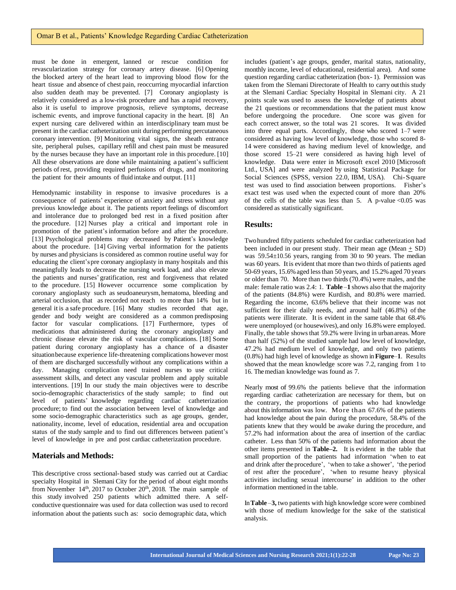must be done in emergent, lanned or rescue condition for revascularization strategy for coronary artery disease. [6] Opening the blocked artery of the heart lead to improving blood flow for the heart tissue and absence of chest pain, reoccurring myocardial infarction also sudden death may be prevented. [7] Coronary angioplasty is relatively considered as a low-risk procedure and has a rapid recovery, also it is useful to improve prognosis, relieve symptoms, decrease ischemic events, and improve functional capacity in the heart. [8] An expert nursing care delivered within an interdisciplinary team must be present in the cardiac catheterization unit during performing percutaneous coronary intervention. [9] Monitoring vital signs, the sheath entrance site, peripheral pulses, capillary refill and chest pain must be measured by the nurses because they have an important role in this procedure. [10] All these observations are done while maintaining a patient's sufficient periods of rest, providing required perfusions of drugs, and monitoring the patient for their amounts of fluid intake and output. [11]

Hemodynamic instability in response to invasive procedures is a consequence of patients' experience of anxiety and stress without any previous knowledge about it. The patients report feelings of discomfort and intolerance due to prolonged bed rest in a fixed position after the procedure. [12] Nurses play a critical and important role in promotion of the patient's information before and after the procedure. [13] Psychological problems may decreased by Patient's knowledge about the procedure. [14] Giving verbal information for the patients by nurses and physicians is considered as common routine useful way for educating the client'spre coronary angioplasty in many hospitals and this meaningfully leads to decrease the nursing work load, and also elevate the patients and nurses' gratification, rest and forgiveness that related to the procedure. [15] However occurrence some complication by coronary angioplasty such as seudoaneurysm, hematoma, bleeding and arterial occlusion, that as recorded not reach to more than 14% but in general it is a safe procedure. [16] Many studies recorded that age, gender and body weight are considered as a common predisposing factor for vascular complications. [17] Furthermore, types of medications that administered during the coronary angioplasty and chronic disease elevate the risk of vascular complications. [18] Some patient during coronary angioplasty has a chance of a disaster situationbecause experience life-threatening complications however most of them are discharged successfully without any complications within a day. Managing complication need trained nurses to use critical assessment skills, and detect any vascular problem and apply suitable interventions. [19] In our study the main objectives were to describe socio-demographic characteristics of the study sample; to find out level of patients' knowledge regarding cardiac catheterization procedure; to find out the association between level of knowledge and some socio-demographic characteristics such as age groups, gender, nationality, income, level of education, residential area and occupation status of the study sample and to find out differences between patient's level of knowledge in pre and post cardiac catheterization procedure.

# **Materials and Methods:**

This descriptive cross sectional-based study was carried out at Cardiac specialty Hospital in Slemani City for the period of about eight months from November  $14<sup>th</sup>$ , 2017 to October 20<sup>th</sup>, 2018. The main sample of this study involved 250 patients which admitted there. A selfconductive questionnaire was used for data collection was used to record information about the patients such as: socio demographic data, which

includes (patient's age groups, gender, marital status, nationality, monthly income, level of educational, residential area). And some question regarding cardiac catheterization (box- 1). Permission was taken from the Slemani Directorate of Health to carry outthis study at the Slemani Cardiac Specialty Hospital in Slemani city. A 21 points scale was used to assess the knowledge of patients about the 21 questions or recommendations that the patient must know before undergoing the procedure. One score was given for each correct answer, so the total was 21 scores. It was divided into three equal parts. Accordingly, those who scored 1–7 were considered as having low level of knowledge, those who scored 8- 14 were considered as having medium level of knowledge, and those scored 15–21 were considered as having high level of knowledge. Data were enter in Microsoft excel 2010 [Microsoft Ltd., USA] and were analyzed by using Statistical Package for Social Sciences (SPSS, version 22.0, IBM, USA). Chi-Square test was used to find association between proportions. Fisher's exact test was used when the expected count of more than 20% of the cells of the table was less than  $5$ . A p-value <0.05 was considered as statistically significant.

### **Results:**

Twohundred fifty patients scheduled for cardiac catheterization had been included in our present study. Their mean age (Mean  $+$  SD) was 59.54±10.56 years, ranging from 30 to 90 years. The median was 60 years. Itis evident that more than two thirds of patients aged 50-69 years, 15.6%aged lessthan 50 years, and 15.2%aged 70 years or older than 70. More than two thirds(70.4%) were males, and the male: female ratio was 2.4: 1. **Table** –**1** shows also that the majority of the patients (84.8%) were Kurdish, and 80.8% were married. Regarding the income, 63.6% believe that their income was not sufficient for their daily needs, and around half (46.8%) of the patients were illiterate. It is evident in the same table that 68.4% were unemployed (or housewives), and only 16.8% were employed. Finally, the table shows that 59.2% were living in urbanareas. More than half (52%) of the studied sample had low level of knowledge, 47.2% had medium level of knowledge, and only two patients (0.8%) had high level of knowledge as shown in**Figure**–**1**. Results showed that the mean knowledge score was 7.2, ranging from 1 to 16. Themedian knowledge was found as 7.

Nearly most of 99.6% the patients believe that the information regarding cardiac catheterization are necessary for them, but on the contrary, the proportions of patients who had knowledge about this information was low. More than 67.6% of the patients had knowledge about the pain during the procedure, 58.4% of the patients knew that they would be awake during the procedure, and 57.2% had information about the area of insertion of the cardiac catheter. Less than 50% of the patients had information about the other items presented in **Table–2.** It is evident in the table that small proportion of the patients had information 'when to eat and drink after the procedure', 'when to take a shower', 'the period of rest after the procedure', 'when to resume heavy physical activities including sexual intercourse' in addition to the other information mentioned in the table.

In**Table** –**3,** two patients with high knowledge score were combined with those of medium knowledge for the sake of the statistical analysis.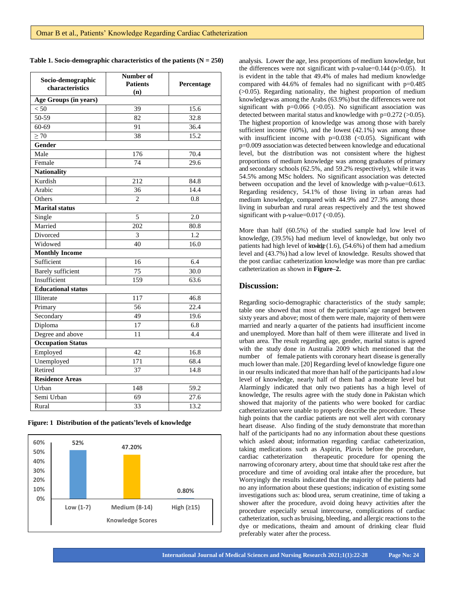|  | Table 1. Socio-demographic characteristics of the patients $(N = 250)$ |  |  |  |  |
|--|------------------------------------------------------------------------|--|--|--|--|
|  |                                                                        |  |  |  |  |

| Socio-demographic<br>characteristics | Number of<br><b>Patients</b><br>(n) | Percentage |  |  |
|--------------------------------------|-------------------------------------|------------|--|--|
| Age Groups (in years)                |                                     |            |  |  |
| < 50                                 | 39                                  | 15.6       |  |  |
| $50-59$                              | 82                                  | 32.8       |  |  |
| $60 - 69$                            | 91                                  | 36.4       |  |  |
| $\geq 70$                            | 38                                  | 15.2       |  |  |
| Gender                               |                                     |            |  |  |
| Male                                 | 176                                 | 70.4       |  |  |
| Female                               | 74                                  | 29.6       |  |  |
| <b>Nationality</b>                   |                                     |            |  |  |
| Kurdish                              | 212                                 | 84.8       |  |  |
| Arabic                               | 36                                  | 14.4       |  |  |
| Others                               | $\overline{c}$                      | 0.8        |  |  |
| <b>Marital status</b>                |                                     |            |  |  |
| Single                               | 5                                   | 2.0        |  |  |
| Married                              | 202                                 | 80.8       |  |  |
| Divorced                             | 3                                   | 1.2        |  |  |
| Widowed                              | 40                                  | 16.0       |  |  |
| <b>Monthly Income</b>                |                                     |            |  |  |
| Sufficient                           | 16                                  | 6.4        |  |  |
| <b>Barely</b> sufficient             | 75                                  | 30.0       |  |  |
| Insufficient                         | 159                                 | 63.6       |  |  |
| <b>Educational status</b>            |                                     |            |  |  |
| Illiterate                           | 117                                 | 46.8       |  |  |
| Primary                              | 56                                  | 22.4       |  |  |
| Secondary                            | 49                                  | 19.6       |  |  |
| Diploma                              | 17                                  | 6.8        |  |  |
| Degree and above                     | 11                                  | 4.4        |  |  |
| <b>Occupation Status</b>             |                                     |            |  |  |
| Employed                             | 42                                  | 16.8       |  |  |
| Unemployed                           | 171                                 | 68.4       |  |  |
| Retired                              | 37                                  | 14.8       |  |  |
| <b>Residence Areas</b>               |                                     |            |  |  |
| Urban                                | 148                                 | 59.2       |  |  |
| Semi Urban                           | 69                                  | 27.6       |  |  |
| Rural                                | 33                                  | 13.2       |  |  |

**Figure: 1 Distribution of the patients'levels of knowledge** 



analysis. Lower the age, less proportions of medium knowledge, but the differences were not significant with p-value= $0.144$  (p $>0.05$ ). It is evident in the table that 49.4% of males had medium knowledge compared with 44.6% of females had no significant with p=0.485  $(0.05)$ . Regarding nationality, the highest proportion of medium knowledgewas among the Arabs (63.9%) but the differences were not significant with  $p=0.066$  ( $>0.05$ ). No significant association was detected between marital status and knowledge with p=0.272 (>0.05). The highest proportion of knowledge was among those with barely sufficient income (60%), and the lowest (42.1%) was among those with insufficient income with  $p=0.038$  (<0.05). Significant with p=0.009 associationwas detected between knowledge and educational level, but the distribution was not consistent where the highest proportions of medium knowledge was among graduates of primary and secondary schools (62.5%, and 59.2% respectively), while itwas 54.5% among MSc holders. No significant association was detected between occupation and the level of knowledge with p-value=0.613. Regarding residency, 54.1% of those living in urban areas had medium knowledge, compared with 44.9% and 27.3% among those living in suburban and rural areas respectively and the test showed significant with p-value= $0.017$  (< $0.05$ ).

More than half (60.5%) of the studied sample had low level of knowledge, (39.5%) had medium level of knowledge, but only two patients had high level of knowledge  $(1.6)$ ,  $(54.6\%)$  of them had amedium level and (43.7%) had a low level of knowledge. Results showed that the post cardiac catheterization knowledge was more than pre cardiac catheterization as shown in **Figure–2.**

#### **Discussion:**

Regarding socio-demographic characteristics of the study sample; table one showed that most of the participants'age ranged between sixty years and above; most of them were male, majority of themwere married and nearly a quarter of the patients had insufficient income and unemployed. More than half of them were illiterate and lived in urban area. The result regarding age, gender, marital status is agreed with the study done in Australia 2009 which mentioned that the number of female patients with coronary heart disease is generally much lower than male. [20] Regarding level of knowledge figure one in our results indicated that more than half of the participants had a low level of knowledge, nearly half of them had a moderate level but Alarmingly indicated that only two patients has a high level of knowledge, The results agree with the study done in Pakistan which showed that majority of the patients who were booked for cardiac catheterization were unable to properly describe the procedure. These high points that the cardiac patients are not well alert with coronary heart disease. Also finding of the study demonstrate that morethan half of the participants had no any information about these questions which asked about; information regarding cardiac catheterization, taking medications such as Aspirin, Plavix before the procedure, cardiac catheterization therapeutic procedure for opening the narrowing ofcoronary artery, about time that should take rest after the procedure and time of avoiding oral intake after the procedure, but Worryingly the results indicated that the majority of the patients had no any information about these questions; indication of existing some investigations such as: blood urea, serum creatinine, time of taking a shower after the procedure, avoid doing heavy activities after the procedure especially sexual intercourse, complications of cardiac catheterization, such as bruising, bleeding, and allergic reactions to the dye or medications, theaim and amount of drinking clear fluid preferably water after the process.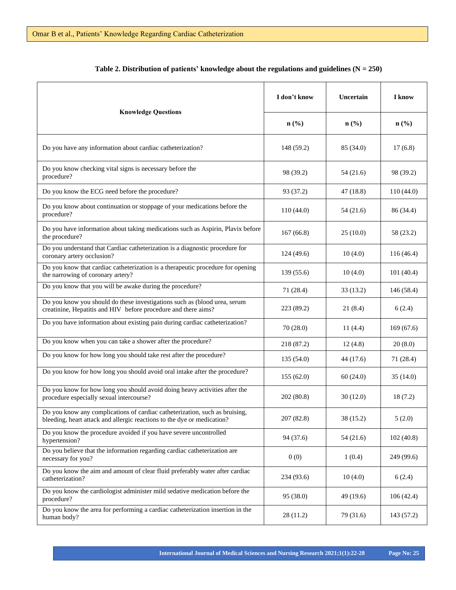|                                                                                                                                                        | I don't know     | Uncertain                   | I know     |  |
|--------------------------------------------------------------------------------------------------------------------------------------------------------|------------------|-----------------------------|------------|--|
| <b>Knowledge Questions</b>                                                                                                                             | $\mathbf{n}(\%)$ | $n\left(\frac{6}{6}\right)$ | $n$ (%)    |  |
| Do you have any information about cardiac catheterization?                                                                                             | 148 (59.2)       | 85 (34.0)                   | 17(6.8)    |  |
| Do you know checking vital signs is necessary before the<br>procedure?                                                                                 | 98 (39.2)        | 54 (21.6)                   | 98 (39.2)  |  |
| Do you know the ECG need before the procedure?                                                                                                         | 93 (37.2)        | 47(18.8)                    | 110(44.0)  |  |
| Do you know about continuation or stoppage of your medications before the<br>procedure?                                                                | 110(44.0)        | 54 (21.6)                   | 86 (34.4)  |  |
| Do you have information about taking medications such as Aspirin, Plavix before<br>the procedure?                                                      | 167(66.8)        | 25(10.0)                    | 58 (23.2)  |  |
| Do you understand that Cardiac catheterization is a diagnostic procedure for<br>coronary artery occlusion?                                             | 124(49.6)        | 10(4.0)                     | 116 (46.4) |  |
| Do you know that cardiac catheterization is a therapeutic procedure for opening<br>the narrowing of coronary artery?                                   | 139(55.6)        | 10(4.0)                     | 101(40.4)  |  |
| Do you know that you will be awake during the procedure?                                                                                               | 71 (28.4)        | 33(13.2)                    | 146(58.4)  |  |
| Do you know you should do these investigations such as (blood urea, serum<br>creatinine, Hepatitis and HIV before procedure and there aims?            | 223(89.2)        | 21(8.4)                     | 6(2.4)     |  |
| Do you have information about existing pain during cardiac catheterization?                                                                            | 70(28.0)         | 11(4.4)                     | 169(67.6)  |  |
| Do you know when you can take a shower after the procedure?                                                                                            | 218 (87.2)       | 12(4.8)                     | 20(8.0)    |  |
| Do you know for how long you should take rest after the procedure?                                                                                     | 135(54.0)        | 44 (17.6)                   | 71 (28.4)  |  |
| Do you know for how long you should avoid oral intake after the procedure?                                                                             | 155(62.0)        | 60(24.0)                    | 35(14.0)   |  |
| Do you know for how long you should avoid doing heavy activities after the<br>procedure especially sexual intercourse?                                 | 202 (80.8)       | 30(12.0)                    | 18(7.2)    |  |
| Do you know any complications of cardiac catheterization, such as bruising,<br>bleeding, heart attack and allergic reactions to the dye or medication? | 207 (82.8)       | 38 (15.2)                   | 5(2.0)     |  |
| Do you know the procedure avoided if you have severe uncontrolled<br>hypertension?                                                                     | 94 (37.6)        | 54 (21.6)                   | 102(40.8)  |  |
| Do you believe that the information regarding cardiac catheterization are<br>necessary for you?                                                        | 0(0)             | 1(0.4)                      | 249 (99.6) |  |
| Do you know the aim and amount of clear fluid preferably water after cardiac<br>catheterization?                                                       | 234 (93.6)       | 10(4.0)                     | 6(2.4)     |  |
| Do you know the cardiologist administer mild sedative medication before the<br>procedure?                                                              | 95 (38.0)        | 49 (19.6)                   | 106(42.4)  |  |
| Do you know the area for performing a cardiac catheterization insertion in the<br>human body?                                                          | 28 (11.2)        | 79 (31.6)                   | 143 (57.2) |  |

# **Table 2. Distribution of patients' knowledge about the regulations and guidelines (N = 250)**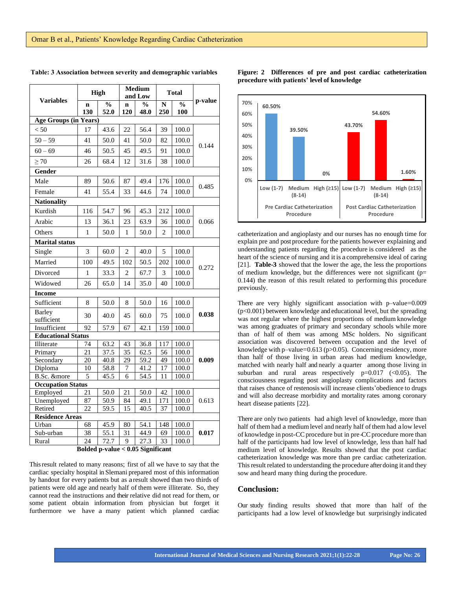|                              | <b>High</b>        |                       |                    | <b>Medium</b><br>and Low |                | <b>Total</b>         |         |  |
|------------------------------|--------------------|-----------------------|--------------------|--------------------------|----------------|----------------------|---------|--|
| <b>Variables</b>             | $\mathbf n$<br>130 | $\frac{0}{0}$<br>52.0 | $\mathbf n$<br>120 | $\frac{0}{0}$<br>48.0    | N<br>250       | $\frac{0}{0}$<br>100 | p-value |  |
| <b>Age Groups (in Years)</b> |                    |                       |                    |                          |                |                      |         |  |
| < 50                         | 17                 | 43.6                  | 22                 | 56.4                     | 39             | 100.0                |         |  |
| $50 - 59$                    | 41                 | 50.0                  | 41                 | 50.0                     | 82             | 100.0                |         |  |
| $60 - 69$                    | 46                 | 50.5                  | 45                 | 49.5                     | 91             | 100.0                | 0.144   |  |
| $\geq 70$                    | 26                 | 68.4                  | 12                 | 31.6                     | 38             | 100.0                |         |  |
| Gender                       |                    |                       |                    |                          |                |                      |         |  |
| Male                         | 89                 | 50.6                  | 87                 | 49.4                     | 176            | 100.0                |         |  |
| Female                       | 41                 | 55.4                  | 33                 | 44.6                     | 74             | 100.0                | 0.485   |  |
| <b>Nationality</b>           |                    |                       |                    |                          |                |                      |         |  |
| Kurdish                      | 116                | 54.7                  | 96                 | 45.3                     | 212            | 100.0                |         |  |
| Arabic                       | 13                 | 36.1                  | 23                 | 63.9                     | 36             | 100.0                | 0.066   |  |
| Others                       | $\mathbf{1}$       | 50.0                  | 1                  | 50.0                     | $\overline{c}$ | 100.0                |         |  |
| <b>Marital status</b>        |                    |                       |                    |                          |                |                      |         |  |
| Single                       | 3                  | 60.0                  | $\overline{2}$     | 40.0                     | 5              | 100.0                |         |  |
| Married                      | 100                | 49.5                  | 102                | 50.5                     | 202            | 100.0                |         |  |
| Divorced                     | 1                  | 33.3                  | $\overline{c}$     | 67.7                     | 3              | 100.0                | 0.272   |  |
| Widowed                      | 26                 | 65.0                  | 14                 | 35.0                     | 40             | 100.0                |         |  |
| <b>Income</b>                |                    |                       |                    |                          |                |                      |         |  |
| Sufficient                   | 8                  | 50.0                  | 8                  | 50.0                     | 16             | 100.0                |         |  |
| <b>Barley</b><br>sufficient  | 30                 | 40.0                  | 45                 | 60.0                     | 75             | 100.0                | 0.038   |  |
| Insufficient                 | 92                 | 57.9                  | 67                 | 42.1                     | 159            | 100.0                |         |  |
| <b>Educational Status</b>    |                    |                       |                    |                          |                |                      |         |  |
| Illiterate                   | 74                 | 63.2                  | 43                 | 36.8                     | 117            | 100.0                |         |  |
| Primary                      | 21                 | 37.5                  | 35                 | 62.5                     | 56             | 100.0                |         |  |
| Secondary                    | 20                 | 40.8                  | 29                 | 59.2                     | 49             | 100.0                | 0.009   |  |
| Diploma                      | 10                 | 58.8                  | 7                  | 41.2                     | 17             | 100.0                |         |  |
| B.Sc. &more                  | 5                  | 45.5                  | 6                  | 54.5                     | 11             | 100.0                |         |  |
| <b>Occupation Status</b>     |                    |                       |                    |                          |                |                      |         |  |
| Employed                     | 21                 | 50.0                  | 21                 | 50.0                     | 42             | 100.0                |         |  |
| Unemployed                   | 87                 | 50.9                  | 84                 | 49.1                     | 171            | 100.0                | 0.613   |  |
| Retired                      | 22                 | 59.5                  | 15                 | 40.5                     | 37             | 100.0                |         |  |
| <b>Residence Areas</b>       |                    |                       |                    |                          |                |                      |         |  |
| Urban                        | 68                 | 45.9                  | 80                 | 54.1                     | 148            | 100.0                |         |  |
| Sub-urban                    | 38                 | 55.1                  | 31                 | 44.9                     | 69             | 100.0                | 0.017   |  |
| Rural                        | 24                 | 72.7                  | 9                  | 27.3                     | 33             | 100.0                |         |  |

**Table: 3 Association between severity and demographic variables**

# **Figure: 2 Differences of pre and post cardiac catheterization procedure with patients' level of knowledge**



catheterization and angioplasty and our nurses has no enough time for explain pre and post procedure for the patients however explaining and understanding patients regarding the procedure is considered as the heart of the science of nursing and itis a comprehensive ideal of caring [21]. **Table-3** showed that the lower the age, the less the proportions of medium knowledge, but the differences were not significant ( $p=$ 0.144) the reason of this result related to performing this procedure previously.

There are very highly significant association with p–value=0.009 (p<0.001) between knowledge and educational level, but the spreading was not regular where the highest proportions of medium knowledge was among graduates of primary and secondary schools while more than of half of them was among MSc holders. No significant association was discovered between occupation and the level of knowledge with p–value=0.613 (p>0.05). Concerning residency, more than half of those living in urban areas had medium knowledge, matched with nearly half and nearly a quarter among those living in suburban and rural areas respectively  $p=0.017$  (<0.05). The consciousness regarding post angioplasty complications and factors that raises chance of restenosis will increase clients'obedience to drugs and will also decrease morbidity and mortality rates among coronary heart disease patients [22].

There are only two patients had ahigh level of knowledge, more than half of them had a medium level and nearly half of them had a low level of knowledge in post-CC procedure but in pre-CC procedure more than half of the participants had low level of knowledge, less than half had medium level of knowledge. Results showed that the post cardiac catheterization knowledge was more than pre cardiac catheterization. This result related to understanding the procedure after doing it and they sow and heard many thing during the procedure.

# **Conclusion:**

Our study finding results showed that more than half of the participants had a low level of knowledge but surprisingly indicated

**Bolded p-value < 0.05 Significant**

Thisresult related to many reasons; first of all we have to say that the cardiac specialty hospital in Slemani prepared most of this information by handout for every patients but as aresult showed than two thirds of patients were old age and nearly half of them were illiterate. So, they cannot read the instructions and their relative did not read for them, or some patient obtain information from physician but forget it furthermore we have a many patient which planned cardiac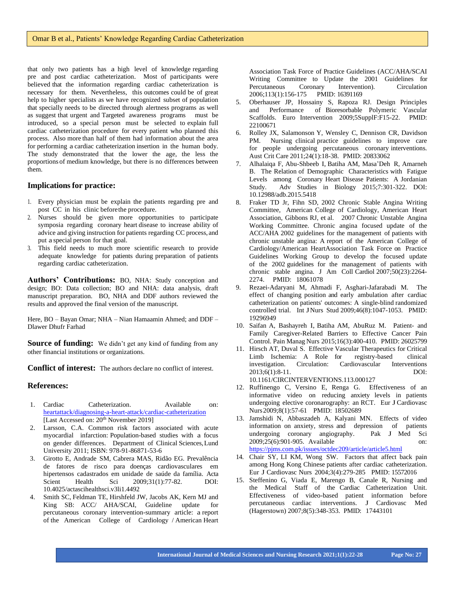that only two patients has a high level of knowledge regarding pre and post cardiac catheterization. Most of participants were believed that the information regarding cardiac catheterization is necessary for them. Nevertheless, this outcomes could be of great help to higher specialists as we have recognized subset of population that specially needs to be directed through alertness programs as well as suggest that urgent and Targeted awareness programs must be introduced, so a special person must be selected to explain full cardiac catheterization procedure for every patient who planned this process. Also more than half of them had information about the area for performing a cardiac catheterization insertion in the human body. The study demonstrated that the lower the age, the less the proportions of medium knowledge, but there is no differences between them.

# **Implications for practice:**

- 1. Every physician must be explain the patients regarding pre and post CC in his clinic beforethe procedure.
- 2. Nurses should be given more opportunities to participate symposia regarding coronary heart disease to increase ability of advice and giving instruction for patients regarding CC process, and put a special person for that goal.
- 3. This field needs to much more scientific research to provide adequate knowledge for patients during preparation of patients regarding cardiac catheterization.

**Authors' Contributions:** BO, NHA: Study conception and design; BO: Data collection; BO and NHA: data analysis, draft manuscript preparation. BO, NHA and DDF authors reviewed the results and approved the final version of the manuscript.

Here, BO – Bayan Omar; NHA – Nian Hamaamin Ahmed; and DDF – Dlawer Dhufr Farhad

**Source of funding:** We didn't get any kind of funding from any other financial institutions or organizations.

**Conflict of interest:** The authors declare no conflict of interest.

# **References:**

- 1. Cardiac Catheterization. Available on: heartattack/diagnosing-a-heart-attack/cardiac-catheterization [Last Accessed on: 20<sup>th</sup> November 2019]
- 2. Larsson, C.A. Common risk factors associated with acute myocardial infarction: Population-based studies with a focus on gender differences. Department of Clinical Sciences,Lund University 2011; ISBN: 978-91-86871-53-6
- 3. Girotto E, Andrade SM, Cabrera MAS, Ridão EG. Prevalência de fatores de risco para doenças cardiovasculares em hipertensos cadastrados em unidade de saúde da família. Acta Scient Health Sci 2009;31(1):77-82. DOI: [10.4025/actascihealthsci.v3li1.4492](http://doi.org.10.4025/actascihealthsci.v3li1.4492)
- 4. Smith SC, Feldman TE, Hirshfeld JW, Jacobs AK, Kern MJ and King SB: ACC/ AHA/SCAI, Guideline update for percutaneous coronary intervention-summary article: a report of the American College of Cardiology / American Heart

Association Task Force of Practice Guidelines (ACC/AHA/SCAI Writing Committee to Update the 2001 Guidelines for Percutaneous Coronary Intervention). Circulation 2006;113(1):156-175 PMID: 16391169

- 5. Oberhauser JP, Hossainy S, Rapoza RJ. Design Principles and Performance of Bioresorbable Polymeric Vascular Scaffolds. Euro Intervention 2009;5SupplF:F15-22. PMID: 22100671
- 6. Rolley JX, Salamonson Y, Wensley C, Dennison CR, Davidson PM. Nursing clinical practice guidelines to improve care for people undergoing percutaneous coronary interventions. Aust Crit Care 2011;24(1):18-38. PMID: 20833062
- 7. Alhalaiqa F, Abu-Shbeeb I, Batiha AM, Masa'Deh R, Amarneh B. The Relation of Demographic Characteristics with Fatigue Levels among Coronary Heart Disease Patients: A Jordanian Study. Adv Studies in Biology 2015;7:301-322. DOI: 10.12988/adb.2015.5418
- 8. Fraker TD Jr, Fihn SD, 2002 Chronic Stable Angina Writing Committee, American College of Cardiology, American Heart Association, Gibbons RJ, et al. 2007 Chronic Unstable Angina Working Committee. Chronic angina focused update of the ACC/AHA 2002 guidelines for the management of patients with chronic unstable angina: A report of the American College of Cardiology/American HeartAssociation Task Force on Practice Guidelines Working Group to develop the focused update of the 2002 guidelines for the management of patients with chronic stable angina. J Am Coll Cardiol 2007;50(23):2264- 2274. PMID: 18061078
- 9. Rezaei-Adaryani M, Ahmadi F, Asghari-Jafarabadi M. The effect of changing position and early ambulation after cardiac catheterization on patients' outcomes: A single-blind randomized controlled trial. Int JNurs Stud 2009;46(8):1047-1053. PMID: 19296949
- 10. Saifan A, Bashayreh I, Batiha AM, AbuRuz M. Patient- and Family Caregiver-Related Barriers to Effective Cancer Pain Control. Pain Manag Nurs 2015;16(3):400-410. PMID: 26025799
- 11. Hirsch AT, Duval S. Effective Vascular Therapeutics for Critical Limb Ischemia: A Role for registry-based clinical investigation. Circulation: Cardiovascular Interventions 2013;6(1):8-11. DOI: 10.1161/CIRCINTERVENTIONS.113.000127
- 12. Ruffinengo C, Versino E, Renga G. Effectiveness of an informative video on reducing anxiety levels in patients undergoing elective coronarography: an RCT. Eur J Cardiovasc Nurs2009;8(1):57-61 PMID: 18502689
- 13. Jamshidi N, Abbaszadeh A, Kalyani MN. Effects of video information on anxiety, stress and depression of patients undergoing coronary angiography. Pak J Med Sci 2009;25(6):901-905. Available on: https://pjms.com.pk/issues/octdec209/article/article5.html
- 14. Chair SY, LI KM, Wong SW. Factors that affect back pain among Hong Kong Chinese patients after cardiac catheterization. Eur J Cardiovasc Nurs 2004;3(4):279-285 PMID: 15572016
- 15. Steffenino G, Viada E, Marengo B, Canale R, Nursing and the Medical Staff of the Cardiac Catheterization Unit. Effectiveness of video-based patient information before percutaneous cardiac interventions. J Cardiovasc Med (Hagerstown) 2007;8(5):348-353. PMID: 17443101